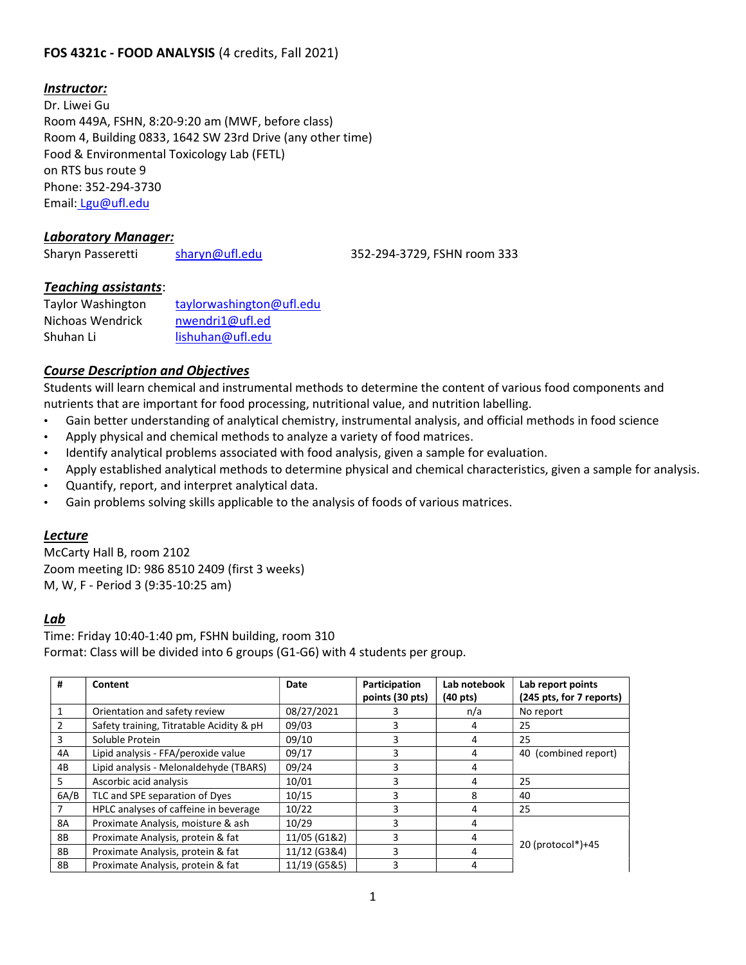# FOS 4321c - FOOD ANALYSIS (4 credits, Fall 2021)

### Instructor:

Dr. Liwei Gu Room 449A, FSHN, 8:20-9:20 am (MWF, before class) Room 4, Building 0833, 1642 SW 23rd Drive (any other time) Food & Environmental Toxicology Lab (FETL) on RTS bus route 9 Phone: 352-294-3730 Email: Lgu@ufl.edu

#### Laboratory Manager:

Sharyn Passeretti sharyn@ufl.edu 352-294-3729, FSHN room 333

### Teaching assistants:

| <b>Taylor Washington</b> | taylorwashington@ufl.edu |
|--------------------------|--------------------------|
| Nichoas Wendrick         | nwendri1@ufl.ed          |
| Shuhan Li                | lishuhan@ufl.edu         |

### Course Description and Objectives

Students will learn chemical and instrumental methods to determine the content of various food components and nutrients that are important for food processing, nutritional value, and nutrition labelling.

- Gain better understanding of analytical chemistry, instrumental analysis, and official methods in food science
- Apply physical and chemical methods to analyze a variety of food matrices.
- Identify analytical problems associated with food analysis, given a sample for evaluation.
- Apply established analytical methods to determine physical and chemical characteristics, given a sample for analysis.
- Quantify, report, and interpret analytical data.
- Gain problems solving skills applicable to the analysis of foods of various matrices.

### Lecture

McCarty Hall B, room 2102 Zoom meeting ID: 986 8510 2409 (first 3 weeks) M, W, F - Period 3 (9:35-10:25 am)

### Lab

Time: Friday 10:40-1:40 pm, FSHN building, room 310 Format: Class will be divided into 6 groups (G1-G6) with 4 students per group.

| #              | Content                                  | Date         | Participation<br>points (30 pts) | Lab notebook<br>$(40 \text{ pts})$ | Lab report points<br>(245 pts, for 7 reports) |
|----------------|------------------------------------------|--------------|----------------------------------|------------------------------------|-----------------------------------------------|
|                | Orientation and safety review            | 08/27/2021   | З                                | n/a                                | No report                                     |
| $\overline{2}$ | Safety training, Titratable Acidity & pH | 09/03        | 3                                | 4                                  | 25                                            |
| 3              | Soluble Protein                          | 09/10        | 3                                | 4                                  | 25                                            |
| 4A             | Lipid analysis - FFA/peroxide value      | 09/17        | 3                                | 4                                  | 40 (combined report)                          |
| 4B             | Lipid analysis - Melonaldehyde (TBARS)   | 09/24        | 3                                | 4                                  |                                               |
| 5              | Ascorbic acid analysis                   | 10/01        | 3                                | 4                                  | 25                                            |
| 6A/B           | TLC and SPE separation of Dyes           | 10/15        | 3                                | 8                                  | 40                                            |
|                | HPLC analyses of caffeine in beverage    | 10/22        | 3                                | 4                                  | 25                                            |
| 8A             | Proximate Analysis, moisture & ash       | 10/29        | 3                                | 4                                  |                                               |
| 8Β             | Proximate Analysis, protein & fat        | 11/05 (G1&2) | 3                                | 4                                  | 20 (protocol*)+45                             |
| 8B             | Proximate Analysis, protein & fat        | 11/12 (G3&4) | 3                                | 4                                  |                                               |
| 8B             | Proximate Analysis, protein & fat        | 11/19 (G5&5) | 3                                | 4                                  |                                               |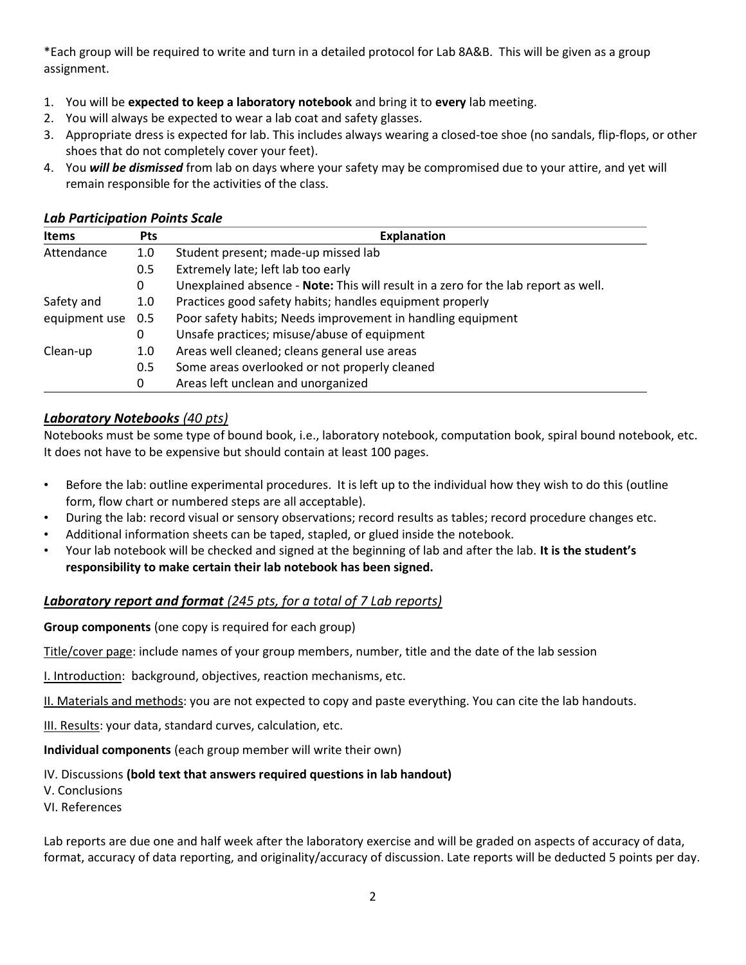\*Each group will be required to write and turn in a detailed protocol for Lab 8A&B. This will be given as a group assignment.

- 1. You will be expected to keep a laboratory notebook and bring it to every lab meeting.
- 2. You will always be expected to wear a lab coat and safety glasses.
- 3. Appropriate dress is expected for lab. This includes always wearing a closed-toe shoe (no sandals, flip-flops, or other shoes that do not completely cover your feet).
- 4. You will be dismissed from lab on days where your safety may be compromised due to your attire, and yet will remain responsible for the activities of the class.

| <b>Items</b>                            | <b>Pts</b> | <b>Explanation</b>                                                                 |  |  |
|-----------------------------------------|------------|------------------------------------------------------------------------------------|--|--|
| Attendance                              | 1.0        | Student present; made-up missed lab                                                |  |  |
|                                         | 0.5        | Extremely late; left lab too early                                                 |  |  |
|                                         | 0          | Unexplained absence - Note: This will result in a zero for the lab report as well. |  |  |
| Safety and                              | 1.0        | Practices good safety habits; handles equipment properly                           |  |  |
| equipment use<br>0.5                    |            | Poor safety habits; Needs improvement in handling equipment                        |  |  |
|                                         | 0          | Unsafe practices; misuse/abuse of equipment                                        |  |  |
| Clean-up<br>1.0                         |            | Areas well cleaned; cleans general use areas                                       |  |  |
|                                         | 0.5        | Some areas overlooked or not properly cleaned                                      |  |  |
| Areas left unclean and unorganized<br>0 |            |                                                                                    |  |  |

## Lab Participation Points Scale

## Laboratory Notebooks (40 pts)

Notebooks must be some type of bound book, i.e., laboratory notebook, computation book, spiral bound notebook, etc. It does not have to be expensive but should contain at least 100 pages.

- Before the lab: outline experimental procedures. It is left up to the individual how they wish to do this (outline form, flow chart or numbered steps are all acceptable).
- During the lab: record visual or sensory observations; record results as tables; record procedure changes etc.
- Additional information sheets can be taped, stapled, or glued inside the notebook.
- Your lab notebook will be checked and signed at the beginning of lab and after the lab. It is the student's responsibility to make certain their lab notebook has been signed.

# Laboratory report and format (245 pts, for a total of 7 Lab reports)

Group components (one copy is required for each group)

Title/cover page: include names of your group members, number, title and the date of the lab session

I. Introduction: background, objectives, reaction mechanisms, etc.

II. Materials and methods: you are not expected to copy and paste everything. You can cite the lab handouts.

III. Results: your data, standard curves, calculation, etc.

Individual components (each group member will write their own)

## IV. Discussions (bold text that answers required questions in lab handout)

V. Conclusions

VI. References

Lab reports are due one and half week after the laboratory exercise and will be graded on aspects of accuracy of data, format, accuracy of data reporting, and originality/accuracy of discussion. Late reports will be deducted 5 points per day.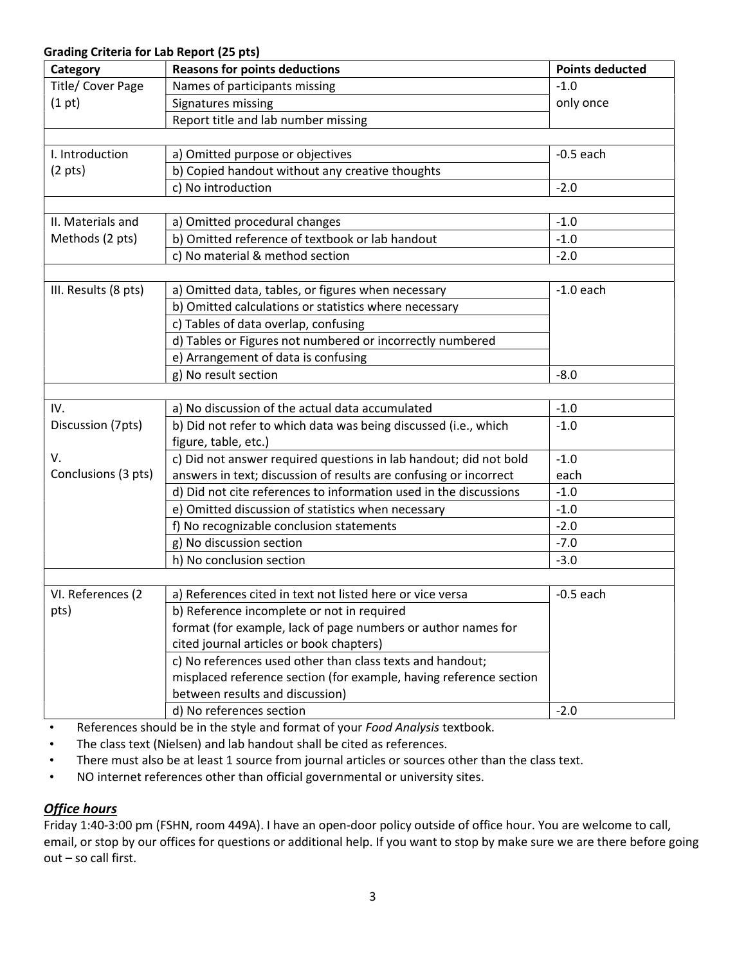### Grading Criteria for Lab Report (25 pts)

| <b>Reasons for points deductions</b><br>Category                                               | <b>Points deducted</b> |
|------------------------------------------------------------------------------------------------|------------------------|
| Title/ Cover Page<br>Names of participants missing<br>$-1.0$                                   |                        |
| (1 pt)<br>Signatures missing                                                                   | only once              |
| Report title and lab number missing                                                            |                        |
|                                                                                                |                        |
| I. Introduction<br>a) Omitted purpose or objectives                                            | $-0.5$ each            |
| b) Copied handout without any creative thoughts<br>$(2 \text{ pts})$                           |                        |
| c) No introduction<br>$-2.0$                                                                   |                        |
|                                                                                                |                        |
| II. Materials and<br>a) Omitted procedural changes<br>$-1.0$                                   |                        |
| b) Omitted reference of textbook or lab handout<br>Methods (2 pts)<br>$-1.0$                   |                        |
| c) No material & method section<br>$-2.0$                                                      |                        |
|                                                                                                |                        |
| III. Results (8 pts)<br>a) Omitted data, tables, or figures when necessary                     | $-1.0$ each            |
| b) Omitted calculations or statistics where necessary                                          |                        |
| c) Tables of data overlap, confusing                                                           |                        |
| d) Tables or Figures not numbered or incorrectly numbered                                      |                        |
| e) Arrangement of data is confusing                                                            |                        |
| g) No result section<br>$-8.0$                                                                 |                        |
|                                                                                                |                        |
| a) No discussion of the actual data accumulated<br>IV.<br>$-1.0$                               |                        |
| Discussion (7pts)<br>b) Did not refer to which data was being discussed (i.e., which<br>$-1.0$ |                        |
| figure, table, etc.)                                                                           |                        |
| V.<br>c) Did not answer required questions in lab handout; did not bold<br>$-1.0$              |                        |
| Conclusions (3 pts)<br>answers in text; discussion of results are confusing or incorrect       | each                   |
| d) Did not cite references to information used in the discussions<br>$-1.0$                    |                        |
| e) Omitted discussion of statistics when necessary<br>$-1.0$                                   |                        |
| f) No recognizable conclusion statements<br>$-2.0$                                             |                        |
| g) No discussion section<br>$-7.0$                                                             |                        |
| h) No conclusion section<br>$-3.0$                                                             |                        |
|                                                                                                |                        |
| VI. References (2<br>a) References cited in text not listed here or vice versa                 | $-0.5$ each            |
| pts)<br>b) Reference incomplete or not in required                                             |                        |
| format (for example, lack of page numbers or author names for                                  |                        |
| cited journal articles or book chapters)                                                       |                        |
| c) No references used other than class texts and handout;                                      |                        |
| misplaced reference section (for example, having reference section                             |                        |
| between results and discussion)                                                                |                        |
| d) No references section<br>$-2.0$                                                             |                        |

• References should be in the style and format of your Food Analysis textbook.

- The class text (Nielsen) and lab handout shall be cited as references.
- There must also be at least 1 source from journal articles or sources other than the class text.
- NO internet references other than official governmental or university sites.

## **Office hours**

Friday 1:40-3:00 pm (FSHN, room 449A). I have an open-door policy outside of office hour. You are welcome to call, email, or stop by our offices for questions or additional help. If you want to stop by make sure we are there before going out – so call first.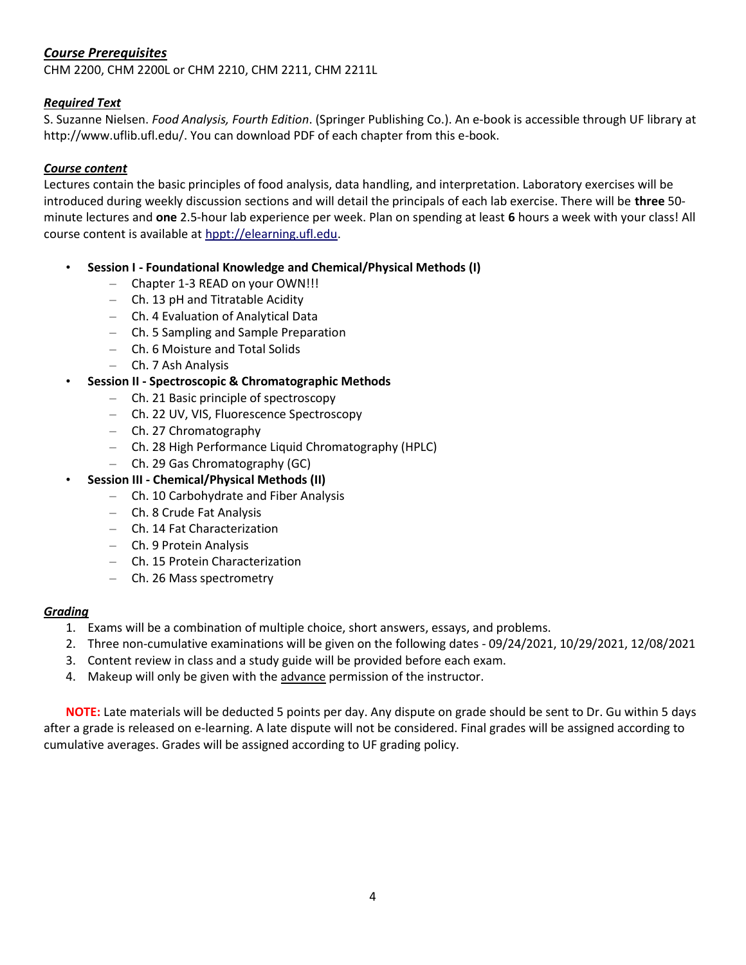# Course Prerequisites

CHM 2200, CHM 2200L or CHM 2210, CHM 2211, CHM 2211L

## Required Text

S. Suzanne Nielsen. Food Analysis, Fourth Edition. (Springer Publishing Co.). An e-book is accessible through UF library at http://www.uflib.ufl.edu/. You can download PDF of each chapter from this e-book.

### Course content

Lectures contain the basic principles of food analysis, data handling, and interpretation. Laboratory exercises will be introduced during weekly discussion sections and will detail the principals of each lab exercise. There will be three 50minute lectures and one 2.5-hour lab experience per week. Plan on spending at least 6 hours a week with your class! All course content is available at hppt://elearning.ufl.edu.

- Session I Foundational Knowledge and Chemical/Physical Methods (I)
	- Chapter 1-3 READ on your OWN!!!
	- Ch. 13 pH and Titratable Acidity
	- Ch. 4 Evaluation of Analytical Data
	- Ch. 5 Sampling and Sample Preparation
	- Ch. 6 Moisture and Total Solids
	- Ch. 7 Ash Analysis
- Session II Spectroscopic & Chromatographic Methods
	- Ch. 21 Basic principle of spectroscopy
	- Ch. 22 UV, VIS, Fluorescence Spectroscopy
	- Ch. 27 Chromatography
	- Ch. 28 High Performance Liquid Chromatography (HPLC)
	- Ch. 29 Gas Chromatography (GC)
	- Session III Chemical/Physical Methods (II)
		- Ch. 10 Carbohydrate and Fiber Analysis
		- Ch. 8 Crude Fat Analysis
		- Ch. 14 Fat Characterization
		- Ch. 9 Protein Analysis
		- Ch. 15 Protein Characterization
		- Ch. 26 Mass spectrometry

### Grading

- 1. Exams will be a combination of multiple choice, short answers, essays, and problems.
- 2. Three non-cumulative examinations will be given on the following dates 09/24/2021, 10/29/2021, 12/08/2021
- 3. Content review in class and a study guide will be provided before each exam.
- 4. Makeup will only be given with the advance permission of the instructor.

NOTE: Late materials will be deducted 5 points per day. Any dispute on grade should be sent to Dr. Gu within 5 days after a grade is released on e-learning. A late dispute will not be considered. Final grades will be assigned according to cumulative averages. Grades will be assigned according to UF grading policy.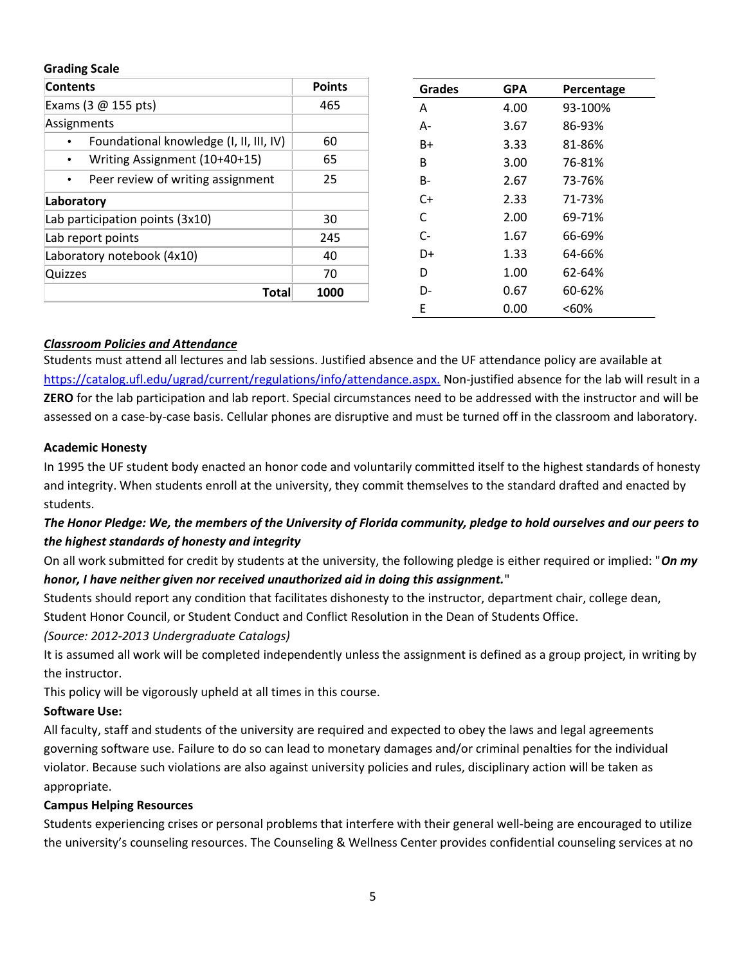### Grading Scale

| <b>Contents</b>                            | <b>Points</b> |
|--------------------------------------------|---------------|
| Exams $(3 \n\omega 155 pts)$               | 465           |
| Assignments                                |               |
| Foundational knowledge (I, II, III, IV)    | 60            |
| Writing Assignment (10+40+15)<br>$\bullet$ | 65            |
| Peer review of writing assignment          | 25            |
| Laboratory                                 |               |
| Lab participation points (3x10)            | 30            |
| Lab report points                          | 245           |
| Laboratory notebook (4x10)                 | 40            |
| Quizzes                                    | 70            |
| Total                                      | <b>1000</b>   |

| <b>Grades</b> | <b>GPA</b> | Percentage |
|---------------|------------|------------|
| Α             | 4.00       | 93-100%    |
| А-            | 3.67       | 86-93%     |
| B+            | 3.33       | 81-86%     |
| В             | 3.00       | 76-81%     |
| B-            | 2.67       | 73-76%     |
| C+            | 2.33       | 71-73%     |
| C             | 2.00       | 69-71%     |
| $C-$          | 1.67       | 66-69%     |
| D+            | 1.33       | 64-66%     |
| D             | 1.00       | 62-64%     |
| D-            | 0.67       | 60-62%     |
| F             | 0.00       | <60%       |

### Classroom Policies and Attendance

Students must attend all lectures and lab sessions. Justified absence and the UF attendance policy are available at https://catalog.ufl.edu/ugrad/current/regulations/info/attendance.aspx. Non-justified absence for the lab will result in a ZERO for the lab participation and lab report. Special circumstances need to be addressed with the instructor and will be assessed on a case-by-case basis. Cellular phones are disruptive and must be turned off in the classroom and laboratory.

### Academic Honesty

In 1995 the UF student body enacted an honor code and voluntarily committed itself to the highest standards of honesty and integrity. When students enroll at the university, they commit themselves to the standard drafted and enacted by students.

# The Honor Pledge: We, the members of the University of Florida community, pledge to hold ourselves and our peers to the highest standards of honesty and integrity

On all work submitted for credit by students at the university, the following pledge is either required or implied: "On my honor, I have neither given nor received unauthorized aid in doing this assignment."

Students should report any condition that facilitates dishonesty to the instructor, department chair, college dean,

Student Honor Council, or Student Conduct and Conflict Resolution in the Dean of Students Office.

(Source: 2012-2013 Undergraduate Catalogs)

It is assumed all work will be completed independently unless the assignment is defined as a group project, in writing by the instructor.

This policy will be vigorously upheld at all times in this course.

## Software Use:

All faculty, staff and students of the university are required and expected to obey the laws and legal agreements governing software use. Failure to do so can lead to monetary damages and/or criminal penalties for the individual violator. Because such violations are also against university policies and rules, disciplinary action will be taken as appropriate.

## Campus Helping Resources

Students experiencing crises or personal problems that interfere with their general well-being are encouraged to utilize the university's counseling resources. The Counseling & Wellness Center provides confidential counseling services at no